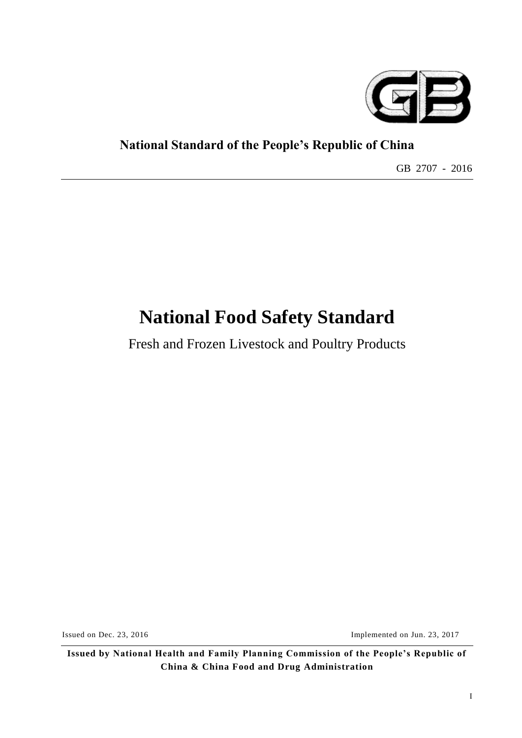

# **National Standard of the People's Republic of China**

GB 2707 - 2016

# **National Food Safety Standard**

Fresh and Frozen Livestock and Poultry Products

Issued on Dec. 23, 2016 Implemented on Jun. 23, 2017

**Issued by National Health and Family Planning Commission of the People's Republic of China & China Food and Drug Administration**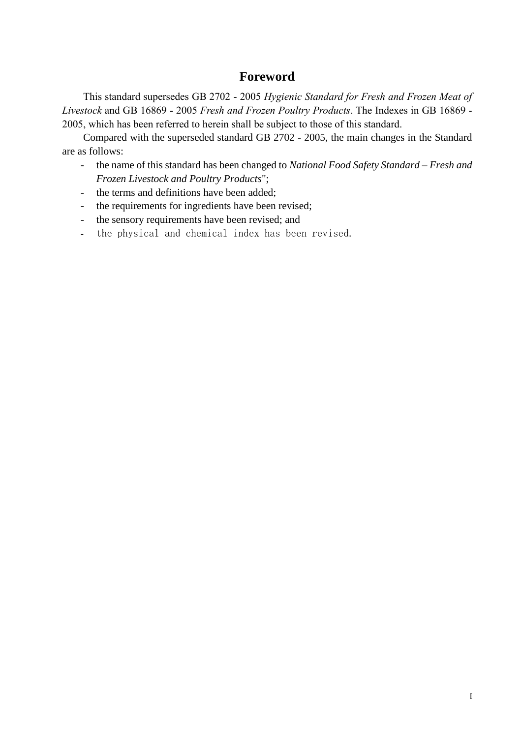## **Foreword**

This standard supersedes GB 2702 - 2005 *Hygienic Standard for Fresh and Frozen Meat of Livestock* and GB 16869 - 2005 *Fresh and Frozen Poultry Products*. The Indexes in GB 16869 - 2005, which has been referred to herein shall be subject to those of this standard.

Compared with the superseded standard GB 2702 - 2005, the main changes in the Standard are as follows:

- the name of this standard has been changed to *National Food Safety Standard – Fresh and Frozen Livestock and Poultry Products*";
- the terms and definitions have been added;
- the requirements for ingredients have been revised;
- the sensory requirements have been revised; and
- the physical and chemical index has been revised.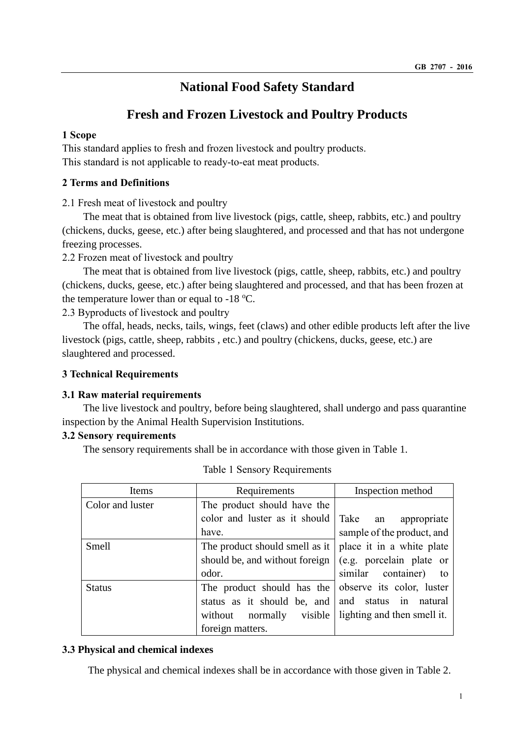# **National Food Safety Standard**

## **Fresh and Frozen Livestock and Poultry Products**

#### **1 Scope**

This standard applies to fresh and frozen livestock and poultry products. This standard is not applicable to ready-to-eat meat products.

#### **2 Terms and Definitions**

2.1 Fresh meat of livestock and poultry

The meat that is obtained from live livestock (pigs, cattle, sheep, rabbits, etc.) and poultry (chickens, ducks, geese, etc.) after being slaughtered, and processed and that has not undergone freezing processes.

2.2 Frozen meat of livestock and poultry

The meat that is obtained from live livestock (pigs, cattle, sheep, rabbits, etc.) and poultry (chickens, ducks, geese, etc.) after being slaughtered and processed, and that has been frozen at the temperature lower than or equal to  $-18$  °C.

2.3 Byproducts of livestock and poultry

The offal, heads, necks, tails, wings, feet (claws) and other edible products left after the live livestock (pigs, cattle, sheep, rabbits , etc.) and poultry (chickens, ducks, geese, etc.) are slaughtered and processed.

#### **3 Technical Requirements**

#### **3.1 Raw material requirements**

The live livestock and poultry, before being slaughtered, shall undergo and pass quarantine inspection by the Animal Health Supervision Institutions.

#### **3.2 Sensory requirements**

The sensory requirements shall be in accordance with those given in Table 1.

| Items            | Requirements                                                 | Inspection method          |
|------------------|--------------------------------------------------------------|----------------------------|
| Color and luster | The product should have the                                  |                            |
|                  | color and luster as it should                                | Take<br>appropriate<br>an  |
|                  | have.                                                        | sample of the product, and |
| Smell            | The product should smell as it $ $ place it in a white plate |                            |
|                  | should be, and without foreign                               | (e.g. porcelain plate or   |
|                  | odor.                                                        | similar container) to      |
| <b>Status</b>    | The product should has the observe its color, luster         |                            |
|                  | status as it should be, and                                  | and status in natural      |
|                  | without normally visible lighting and then smell it.         |                            |
|                  | foreign matters.                                             |                            |

Table 1 Sensory Requirements

#### **3.3 Physical and chemical indexes**

The physical and chemical indexes shall be in accordance with those given in Table 2.